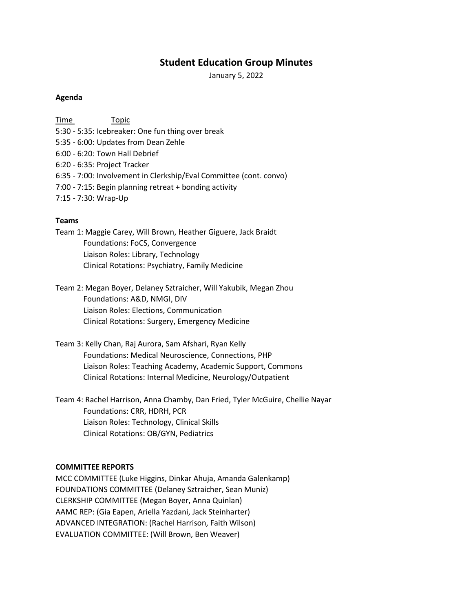# **Student Education Group Minutes**

January 5, 2022

#### **Agenda**

Time Topic 5:30 - 5:35: Icebreaker: One fun thing over break 5:35 - 6:00: Updates from Dean Zehle 6:00 - 6:20: Town Hall Debrief 6:20 - 6:35: Project Tracker 6:35 - 7:00: Involvement in Clerkship/Eval Committee (cont. convo) 7:00 - 7:15: Begin planning retreat + bonding activity 7:15 - 7:30: Wrap-Up

#### **Teams**

- Team 1: Maggie Carey, Will Brown, Heather Giguere, Jack Braidt Foundations: FoCS, Convergence Liaison Roles: Library, Technology Clinical Rotations: Psychiatry, Family Medicine
- Team 2: Megan Boyer, Delaney Sztraicher, Will Yakubik, Megan Zhou Foundations: A&D, NMGI, DIV Liaison Roles: Elections, Communication Clinical Rotations: Surgery, Emergency Medicine
- Team 3: Kelly Chan, Raj Aurora, Sam Afshari, Ryan Kelly Foundations: Medical Neuroscience, Connections, PHP Liaison Roles: Teaching Academy, Academic Support, Commons Clinical Rotations: Internal Medicine, Neurology/Outpatient
- Team 4: Rachel Harrison, Anna Chamby, Dan Fried, Tyler McGuire, Chellie Nayar Foundations: CRR, HDRH, PCR Liaison Roles: Technology, Clinical Skills Clinical Rotations: OB/GYN, Pediatrics

#### **COMMITTEE REPORTS**

MCC COMMITTEE (Luke Higgins, Dinkar Ahuja, Amanda Galenkamp) FOUNDATIONS COMMITTEE (Delaney Sztraicher, Sean Muniz) CLERKSHIP COMMITTEE (Megan Boyer, Anna Quinlan) AAMC REP: (Gia Eapen, Ariella Yazdani, Jack Steinharter) ADVANCED INTEGRATION: (Rachel Harrison, Faith Wilson) EVALUATION COMMITTEE: (Will Brown, Ben Weaver)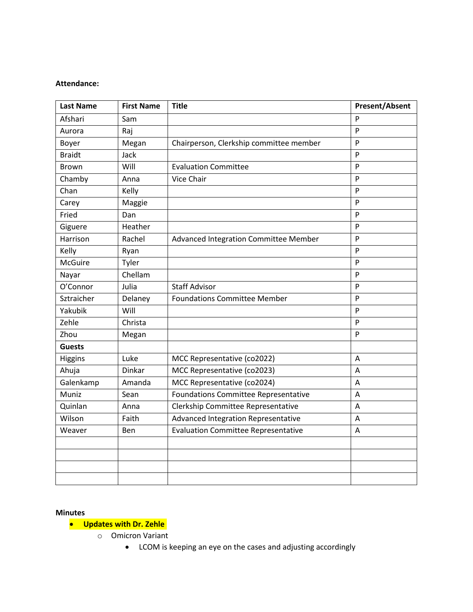#### **Attendance:**

| <b>Last Name</b> | <b>First Name</b> | <b>Title</b>                               | <b>Present/Absent</b> |
|------------------|-------------------|--------------------------------------------|-----------------------|
| Afshari          | Sam               |                                            | P                     |
| Aurora           | Raj               |                                            | P                     |
| Boyer            | Megan             | Chairperson, Clerkship committee member    | P                     |
| <b>Braidt</b>    | Jack              |                                            | P                     |
| <b>Brown</b>     | Will              | <b>Evaluation Committee</b>                | P                     |
| Chamby           | Anna              | Vice Chair                                 | P                     |
| Chan             | Kelly             |                                            | P                     |
| Carey            | Maggie            |                                            | P                     |
| Fried            | Dan               |                                            | P                     |
| Giguere          | Heather           |                                            | P                     |
| Harrison         | Rachel            | Advanced Integration Committee Member      | P                     |
| Kelly            | Ryan              |                                            | P                     |
| <b>McGuire</b>   | Tyler             |                                            | P                     |
| Nayar            | Chellam           |                                            | P                     |
| O'Connor         | Julia             | <b>Staff Advisor</b>                       | $\mathsf{P}$          |
| Sztraicher       | Delaney           | <b>Foundations Committee Member</b>        | P                     |
| Yakubik          | Will              |                                            | P                     |
| Zehle            | Christa           |                                            | P                     |
| Zhou             | Megan             |                                            | P                     |
| <b>Guests</b>    |                   |                                            |                       |
| Higgins          | Luke              | MCC Representative (co2022)                | A                     |
| Ahuja            | Dinkar            | MCC Representative (co2023)                | A                     |
| Galenkamp        | Amanda            | MCC Representative (co2024)                | A                     |
| Muniz            | Sean              | Foundations Committee Representative       | A                     |
| Quinlan          | Anna              | Clerkship Committee Representative         | A                     |
| Wilson           | Faith             | Advanced Integration Representative        | A                     |
| Weaver           | <b>Ben</b>        | <b>Evaluation Committee Representative</b> | A                     |
|                  |                   |                                            |                       |
|                  |                   |                                            |                       |
|                  |                   |                                            |                       |
|                  |                   |                                            |                       |

#### **Minutes**

# • **Updates with Dr. Zehle**

- o Omicron Variant
	- LCOM is keeping an eye on the cases and adjusting accordingly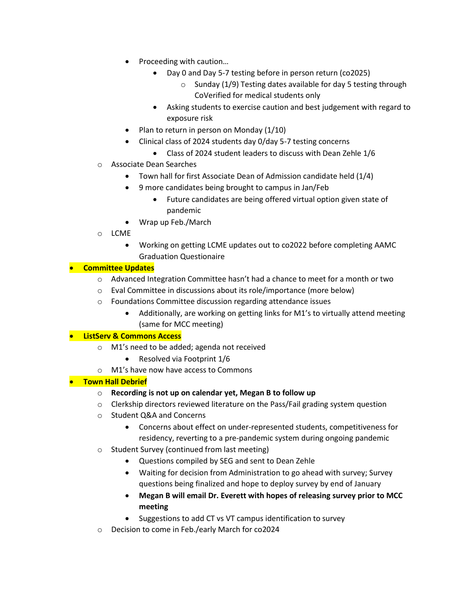- Proceeding with caution…
	- Day 0 and Day 5-7 testing before in person return (co2025)
		- $\circ$  Sunday (1/9) Testing dates available for day 5 testing through CoVerified for medical students only
	- Asking students to exercise caution and best judgement with regard to exposure risk
- Plan to return in person on Monday (1/10)
- Clinical class of 2024 students day 0/day 5-7 testing concerns
	- Class of 2024 student leaders to discuss with Dean Zehle 1/6
- o Associate Dean Searches
	- Town hall for first Associate Dean of Admission candidate held (1/4)
	- 9 more candidates being brought to campus in Jan/Feb
		- Future candidates are being offered virtual option given state of pandemic
	- Wrap up Feb./March
- o LCME
	- Working on getting LCME updates out to co2022 before completing AAMC Graduation Questionaire

## • **Committee Updates**

- $\circ$  Advanced Integration Committee hasn't had a chance to meet for a month or two
- o Eval Committee in discussions about its role/importance (more below)
- o Foundations Committee discussion regarding attendance issues
	- Additionally, are working on getting links for M1's to virtually attend meeting (same for MCC meeting)

## • **ListServ & Commons Access**

- o M1's need to be added; agenda not received
	- Resolved via Footprint 1/6
- o M1's have now have access to Commons

## • **Town Hall Debrief**

- o **Recording is not up on calendar yet, Megan B to follow up**
- o Clerkship directors reviewed literature on the Pass/Fail grading system question
- o Student Q&A and Concerns
	- Concerns about effect on under-represented students, competitiveness for residency, reverting to a pre-pandemic system during ongoing pandemic
- o Student Survey (continued from last meeting)
	- Questions compiled by SEG and sent to Dean Zehle
	- Waiting for decision from Administration to go ahead with survey; Survey questions being finalized and hope to deploy survey by end of January
	- **Megan B will email Dr. Everett with hopes of releasing survey prior to MCC meeting**
	- Suggestions to add CT vs VT campus identification to survey
- o Decision to come in Feb./early March for co2024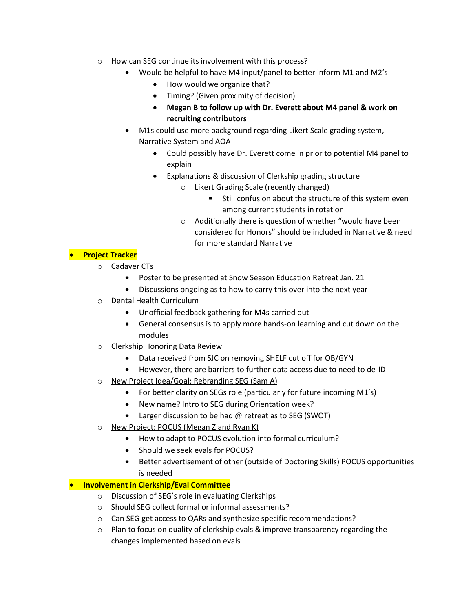- o How can SEG continue its involvement with this process?
	- Would be helpful to have M4 input/panel to better inform M1 and M2's
		- How would we organize that?
		- Timing? (Given proximity of decision)
		- **Megan B to follow up with Dr. Everett about M4 panel & work on recruiting contributors**
	- M1s could use more background regarding Likert Scale grading system, Narrative System and AOA
		- Could possibly have Dr. Everett come in prior to potential M4 panel to explain
		- Explanations & discussion of Clerkship grading structure
			- o Likert Grading Scale (recently changed)
				- **Still confusion about the structure of this system even** among current students in rotation
			- o Additionally there is question of whether "would have been considered for Honors" should be included in Narrative & need for more standard Narrative

# • **Project Tracker**

- o Cadaver CTs
	- Poster to be presented at Snow Season Education Retreat Jan. 21
	- Discussions ongoing as to how to carry this over into the next year
- o Dental Health Curriculum
	- Unofficial feedback gathering for M4s carried out
	- General consensus is to apply more hands-on learning and cut down on the modules
- o Clerkship Honoring Data Review
	- Data received from SJC on removing SHELF cut off for OB/GYN
	- However, there are barriers to further data access due to need to de-ID
- o New Project Idea/Goal: Rebranding SEG (Sam A)
	- For better clarity on SEGs role (particularly for future incoming M1's)
	- New name? Intro to SEG during Orientation week?
	- Larger discussion to be had  $@$  retreat as to SEG (SWOT)
- o New Project: POCUS (Megan Z and Ryan K)
	- How to adapt to POCUS evolution into formal curriculum?
	- Should we seek evals for POCUS?
	- Better advertisement of other (outside of Doctoring Skills) POCUS opportunities is needed

## • **Involvement in Clerkship/Eval Committee**

- o Discussion of SEG's role in evaluating Clerkships
- o Should SEG collect formal or informal assessments?
- o Can SEG get access to QARs and synthesize specific recommendations?
- $\circ$  Plan to focus on quality of clerkship evals & improve transparency regarding the changes implemented based on evals